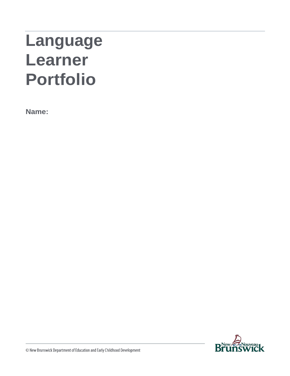# **Language Learner Portfolio**

**Name:**

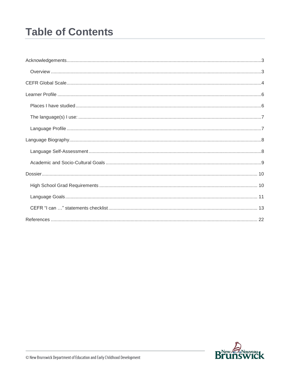## **Table of Contents**

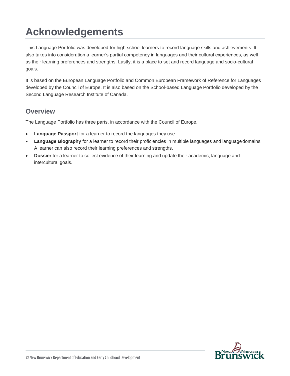## <span id="page-2-0"></span>**Acknowledgements**

This Language Portfolio was developed for high school learners to record language skills and achievements. It also takes into consideration a learner's partial competency in languages and their cultural experiences, as well as their learning preferences and strengths. Lastly, it is a place to set and record language and socio-cultural goals.

It is based on the European Language Portfolio and Common European Framework of Reference for Languages developed by the Council of Europe. It is also based on the School-based Language Portfolio developed by the Second Language Research Institute of Canada.

### <span id="page-2-1"></span>**Overview**

The Language Portfolio has three parts, in accordance with the Council of Europe.

- **Language Passport** for a learner to record the languages they use.
- **Language Biography** for a learner to record their proficiencies in multiple languages and language domains. A learner can also record their learning preferences and strengths.
- **Dossier** for a learner to collect evidence of their learning and update their academic, language and intercultural goals.

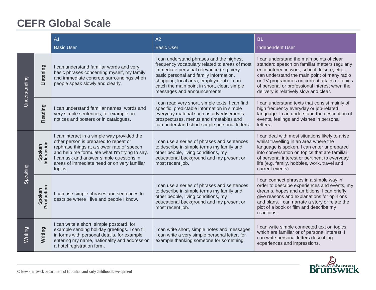## **CEFR Global Scale**

<span id="page-3-0"></span>

|               |                       | A <sub>1</sub>                                                                                                                                                                                                                                                                            | A <sub>2</sub>                                                                                                                                                                                                                                                                                            | <b>B1</b>                                                                                                                                                                                                                                                                                                                             |  |  |
|---------------|-----------------------|-------------------------------------------------------------------------------------------------------------------------------------------------------------------------------------------------------------------------------------------------------------------------------------------|-----------------------------------------------------------------------------------------------------------------------------------------------------------------------------------------------------------------------------------------------------------------------------------------------------------|---------------------------------------------------------------------------------------------------------------------------------------------------------------------------------------------------------------------------------------------------------------------------------------------------------------------------------------|--|--|
|               |                       | <b>Basic User</b>                                                                                                                                                                                                                                                                         | <b>Basic User</b>                                                                                                                                                                                                                                                                                         | <b>Independent User</b>                                                                                                                                                                                                                                                                                                               |  |  |
| Understanding | Listening             | I can understand familiar words and very<br>basic phrases concerning myself, my family<br>and immediate concrete surroundings when<br>people speak slowly and clearly.                                                                                                                    | I can understand phrases and the highest<br>frequency vocabulary related to areas of most<br>immediate personal relevance (e.g. very<br>basic personal and family information,<br>shopping, local area, employment). I can<br>catch the main point in short, clear, simple<br>messages and announcements. | I can understand the main points of clear<br>standard speech on familiar matters regularly<br>encountered in work, school, leisure, etc. I<br>can understand the main point of many radio<br>or TV programmes on current affairs or topics<br>of personal or professional interest when the<br>delivery is relatively slow and clear. |  |  |
|               | Reading               | I can understand familiar names, words and<br>very simple sentences, for example on<br>notices and posters or in catalogues.                                                                                                                                                              | I can read very short, simple texts. I can find<br>specific, predictable information in simple<br>everyday material such as advertisements,<br>prospectuses, menus and timetables and I<br>can understand short simple personal letters.                                                                  | I can understand texts that consist mainly of<br>high frequency everyday or job-related<br>language. I can understand the description of<br>events, feelings and wishes in personal<br>letters.                                                                                                                                       |  |  |
| Speaking      | Interaction<br>Spoken | I can interact in a simple way provided the<br>other person is prepared to repeat or<br>rephrase things at a slower rate of speech<br>and help me formulate what I'm trying to say.<br>I can ask and answer simple questions in<br>areas of immediate need or on very familiar<br>topics. | I can use a series of phrases and sentences<br>to describe in simple terms my family and<br>other people, living conditions, my<br>educational background and my present or<br>most recent job.                                                                                                           | I can deal with most situations likely to arise<br>whilst travelling in an area where the<br>language is spoken. I can enter unprepared<br>into conversation on topics that are familiar,<br>of personal interest or pertinent to everyday<br>life (e.g. family, hobbies, work, travel and<br>current events).                        |  |  |
|               | Production<br>Spoken  | can use simple phrases and sentences to<br>describe where I live and people I know.                                                                                                                                                                                                       | I can use a series of phrases and sentences<br>to describe in simple terms my family and<br>other people, living conditions, my<br>educational background and my present or<br>most recent job.                                                                                                           | I can connect phrases in a simple way in<br>order to describe experiences and events, my<br>dreams, hopes and ambitions. I can briefly<br>give reasons and explanations for opinions<br>and plans. I can narrate a story or relate the<br>plot of a book or film and describe my<br>reactions.                                        |  |  |
| Writing       | Writing               | I can write a short, simple postcard, for<br>example sending holiday greetings. I can fill<br>in forms with personal details, for example<br>entering my name, nationality and address on<br>a hotel registration form.                                                                   | can write short, simple notes and messages.<br>I can write a very simple personal letter, for<br>example thanking someone for something.                                                                                                                                                                  | I can write simple connected text on topics<br>which are familiar or of personal interest. I<br>can write personal letters describing<br>experiences and impressions.                                                                                                                                                                 |  |  |

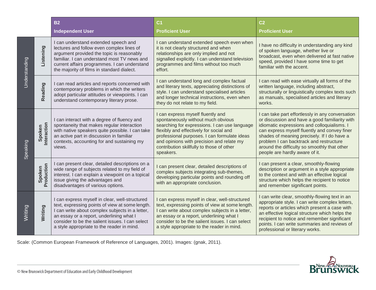|                                   |                      | <b>B2</b>                                                                                                                                                                                                                                                                                         | C <sub>1</sub>                                                                                                                                                                                                                                                                                                             | C <sub>2</sub>                                                                                                                                                                                                                                                                                                                                                                |
|-----------------------------------|----------------------|---------------------------------------------------------------------------------------------------------------------------------------------------------------------------------------------------------------------------------------------------------------------------------------------------|----------------------------------------------------------------------------------------------------------------------------------------------------------------------------------------------------------------------------------------------------------------------------------------------------------------------------|-------------------------------------------------------------------------------------------------------------------------------------------------------------------------------------------------------------------------------------------------------------------------------------------------------------------------------------------------------------------------------|
|                                   |                      | <b>Independent User</b>                                                                                                                                                                                                                                                                           | <b>Proficient User</b>                                                                                                                                                                                                                                                                                                     | <b>Proficient User</b>                                                                                                                                                                                                                                                                                                                                                        |
| Understanding                     | Listening            | I can understand extended speech and<br>lectures and follow even complex lines of<br>argument provided the topic is reasonably<br>familiar. I can understand most TV news and<br>current affairs programmes. I can understand<br>the majority of films in standard dialect.                       | I can understand extended speech even when<br>it is not clearly structured and when<br>relationships are only implied and not<br>signalled explicitly. I can understand television<br>programmes and films without too much<br>effort.                                                                                     | I have no difficulty in understanding any kind<br>of spoken language, whether live or<br>broadcast, even when delivered at fast native<br>speed, provided I have some time to get<br>familiar with the accent.                                                                                                                                                                |
|                                   | Reading              | I can read articles and reports concerned with<br>contemporary problems in which the writers<br>adopt particular attitudes or viewpoints. I can<br>understand contemporary literary prose.                                                                                                        | I can understand long and complex factual<br>and literary texts, appreciating distinctions of<br>style. I can understand specialised articles<br>and longer technical instructions, even when<br>they do not relate to my field.                                                                                           | I can read with ease virtually all forms of the<br>written language, including abstract,<br>structurally or linguistically complex texts such<br>as manuals, specialised articles and literary<br>works.                                                                                                                                                                      |
| Interaction<br>Spoken<br>Speaking |                      | I can interact with a degree of fluency and<br>spontaneity that makes regular interaction<br>with native speakers quite possible. I can take<br>an active part in discussion in familiar<br>contexts, accounting for and sustaining my<br>views.                                                  | I can express myself fluently and<br>spontaneously without much obvious<br>searching for expressions. I can use language<br>flexibly and effectively for social and<br>professional purposes. I can formulate ideas<br>and opinions with precision and relate my<br>contribution skillfully to those of other<br>speakers. | I can take part effortlessly in any conversation<br>or discussion and have a good familiarity with<br>idiomatic expressions and colloquialisms. I<br>can express myself fluently and convey finer<br>shades of meaning precisely. If I do have a<br>problem I can backtrack and restructure<br>around the difficulty so smoothly that other<br>people are hardly aware of it. |
|                                   | Production<br>Spoken | I can present clear, detailed descriptions on a<br>wide range of subjects related to my field of<br>interest. I can explain a viewpoint on a topical<br>issue giving the advantages and<br>disadvantages of various options.                                                                      | I can present clear, detailed descriptions of<br>complex subjects integrating sub-themes,<br>developing particular points and rounding off<br>with an appropriate conclusion.                                                                                                                                              | I can present a clear, smoothly-flowing<br>description or argument in a style appropriate<br>to the context and with an effective logical<br>structure which helps the recipient to notice<br>and remember significant points.                                                                                                                                                |
| <b>Writing</b>                    | Writing              | I can express myself in clear, well-structured<br>text, expressing points of view at some length.<br>I can write about complex subjects in a letter,<br>an essay or a report, underlining what I<br>consider to be the salient issues. I can select<br>a style appropriate to the reader in mind. | I can express myself in clear, well-structured<br>text, expressing points of view at some length.<br>I can write about complex subjects in a letter,<br>an essay or a report, underlining what I<br>consider to be the salient issues. I can select<br>a style appropriate to the reader in mind.                          | I can write clear, smoothly-flowing text in an<br>appropriate style. I can write complex letters,<br>reports or articles which present a case with<br>an effective logical structure which helps the<br>recipient to notice and remember significant<br>points. I can write summaries and reviews of<br>professional or literary works.                                       |

Scale: (Common European Framework of Reference of Languages, 2001). Images: (gnak, 2011).

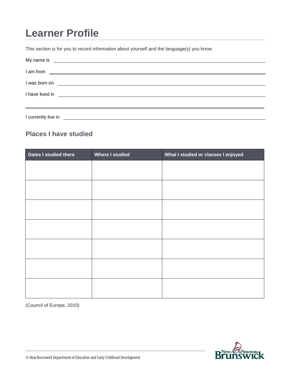## <span id="page-5-0"></span>**Learner Profile**

This section is for you to record information about yourself and the language(s) you know.

| I was born on <u>example and the set of the set of the set of the set of the set of the set of the set of the set of the set of the set of the set of the set of the set of the set of the set of the set of the set of the set </u> |  |
|--------------------------------------------------------------------------------------------------------------------------------------------------------------------------------------------------------------------------------------|--|
|                                                                                                                                                                                                                                      |  |
|                                                                                                                                                                                                                                      |  |
| I currently live in <u>example and the set of the set of the set of the set of the set of the set of the set of the set of the set of the set of the set of the set of the set of the set of the set of the set of the set of th</u> |  |

## <span id="page-5-1"></span>**Places I have studied**

| Dates I studied there | <b>Where I studied</b> | What I studied or classes I enjoyed |
|-----------------------|------------------------|-------------------------------------|
|                       |                        |                                     |
|                       |                        |                                     |
|                       |                        |                                     |
|                       |                        |                                     |
|                       |                        |                                     |
|                       |                        |                                     |
|                       |                        |                                     |
|                       |                        |                                     |
|                       |                        |                                     |
|                       |                        |                                     |
|                       |                        |                                     |
|                       |                        |                                     |
|                       |                        |                                     |

(Council of Europe, 2010)

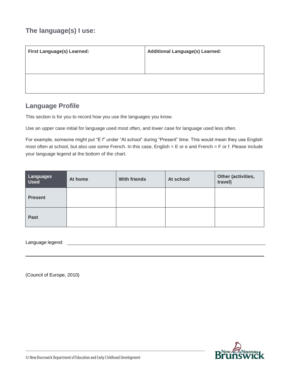### <span id="page-6-0"></span>**The language(s) I use:**

| <b>First Language(s) Learned:</b> | <b>Additional Language(s) Learned:</b> |
|-----------------------------------|----------------------------------------|
|                                   |                                        |
|                                   |                                        |
|                                   |                                        |

### <span id="page-6-1"></span>**Language Profile**

This section is for you to record how you use the languages you know.

Use an upper case initial for language used most often, and lower case for language used less often.

For example, someone might put "E f" under "At school" during "Present" time. This would mean they use English most often at school, but also use some French. In this case, English = E or e and French = F or f. Please include your language legend at the bottom of the chart.

| Languages<br>Used | At home | <b>With friends</b> | At school | Other (activities,<br>travel) |
|-------------------|---------|---------------------|-----------|-------------------------------|
| <b>Present</b>    |         |                     |           |                               |
| Past              |         |                     |           |                               |

Language legend:

(Council of Europe, 2010)

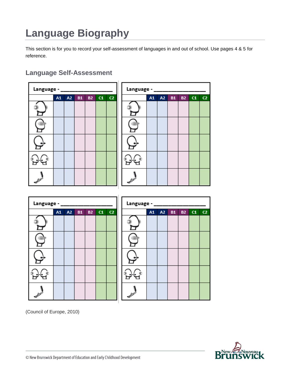## <span id="page-7-0"></span>**Language Biography**

This section is for you to record your self-assessment of languages in and out of school. Use pages 4 & 5 for reference.

## <span id="page-7-1"></span>**Language Self-Assessment**

| Language - ___   |  |       |           |           |    |                | L |
|------------------|--|-------|-----------|-----------|----|----------------|---|
|                  |  | A1 A2 | <b>B1</b> | <b>B2</b> | C1 | C <sub>2</sub> |   |
| ►                |  |       |           |           |    |                | á |
|                  |  |       |           |           |    |                |   |
|                  |  |       |           |           |    |                |   |
| □                |  |       |           |           |    |                | ь |
| $\mathbf{z}_{q}$ |  |       |           |           |    |                | ú |

| Language - __ |    |    |           |           |    |    |  |  |
|---------------|----|----|-----------|-----------|----|----|--|--|
|               | A1 | A2 | <b>B1</b> | <b>B2</b> | C1 | C2 |  |  |
|               |    |    |           |           |    |    |  |  |
|               |    |    |           |           |    |    |  |  |
|               |    |    |           |           |    |    |  |  |
|               |    |    |           |           |    |    |  |  |
| <b>MAN</b>    |    |    |           |           |    |    |  |  |

 $C<sub>2</sub>$ 

| Language - __________ |    |    |           |           |    |                | Language - ________ |    |    |           |           |    |
|-----------------------|----|----|-----------|-----------|----|----------------|---------------------|----|----|-----------|-----------|----|
|                       | A1 | A2 | <b>B1</b> | <b>B2</b> | C1 | C <sub>2</sub> |                     | A1 | A2 | <b>B1</b> | <b>B2</b> | C1 |
|                       |    |    |           |           |    |                |                     |    |    |           |           |    |
|                       |    |    |           |           |    |                |                     |    |    |           |           |    |
|                       |    |    |           |           |    |                |                     |    |    |           |           |    |
|                       |    |    |           |           |    |                |                     |    |    |           |           |    |
|                       |    |    |           |           |    |                |                     |    |    |           |           |    |

(Council of Europe, 2010)

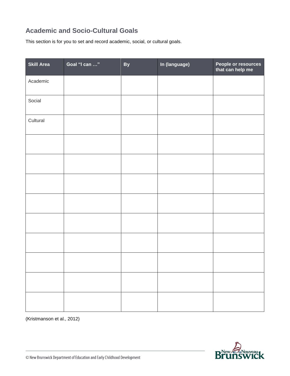## <span id="page-8-0"></span>**Academic and Socio-Cultural Goals**

This section is for you to set and record academic, social, or cultural goals.

| <b>Skill Area</b> | Goal "I can " | By | In (language) | People or resources<br>that can help me |
|-------------------|---------------|----|---------------|-----------------------------------------|
| Academic          |               |    |               |                                         |
| Social            |               |    |               |                                         |
| Cultural          |               |    |               |                                         |
|                   |               |    |               |                                         |
|                   |               |    |               |                                         |
|                   |               |    |               |                                         |
|                   |               |    |               |                                         |
|                   |               |    |               |                                         |
|                   |               |    |               |                                         |
|                   |               |    |               |                                         |
|                   |               |    |               |                                         |
|                   |               |    |               |                                         |

(Kristmanson et al., 2012)

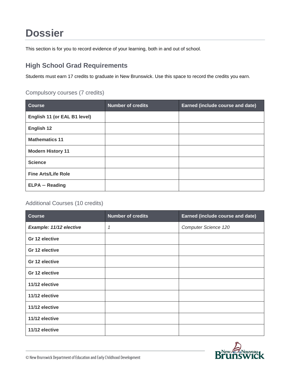## <span id="page-9-0"></span>**Dossier**

This section is for you to record evidence of your learning, both in and out of school.

### <span id="page-9-1"></span>**High School Grad Requirements**

Students must earn 17 credits to graduate in New Brunswick. Use this space to record the credits you earn.

### Compulsory courses (7 credits)

| <b>Course</b>                | <b>Number of credits</b> | Earned (include course and date) |
|------------------------------|--------------------------|----------------------------------|
| English 11 (or EAL B1 level) |                          |                                  |
| English 12                   |                          |                                  |
| <b>Mathematics 11</b>        |                          |                                  |
| <b>Modern History 11</b>     |                          |                                  |
| <b>Science</b>               |                          |                                  |
| <b>Fine Arts/Life Role</b>   |                          |                                  |
| <b>ELPA - Reading</b>        |                          |                                  |

### Additional Courses (10 credits)

| <b>Course</b>           | <b>Number of credits</b> | Earned (include course and date) |
|-------------------------|--------------------------|----------------------------------|
| Example: 11/12 elective | 1                        | <b>Computer Science 120</b>      |
| Gr 12 elective          |                          |                                  |
| Gr 12 elective          |                          |                                  |
| Gr 12 elective          |                          |                                  |
| Gr 12 elective          |                          |                                  |
| 11/12 elective          |                          |                                  |
| 11/12 elective          |                          |                                  |
| 11/12 elective          |                          |                                  |
| 11/12 elective          |                          |                                  |
| 11/12 elective          |                          |                                  |

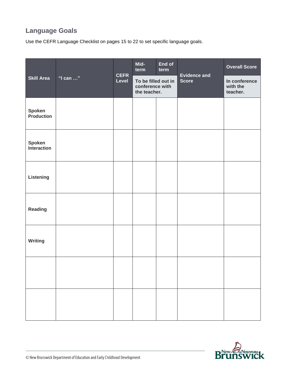## <span id="page-10-0"></span>**Language Goals**

Use the CEFR Language Checklist on pages 15 to 22 to set specific language goals.

| <b>Skill Area</b>           | "I can " | <b>CEFR</b><br>Level | Mid-<br>term                                           | End of<br>term |                                     | <b>Overall Score</b>                  |
|-----------------------------|----------|----------------------|--------------------------------------------------------|----------------|-------------------------------------|---------------------------------------|
|                             |          |                      | To be filled out in<br>conference with<br>the teacher. |                | <b>Evidence and</b><br><b>Score</b> | In conference<br>with the<br>teacher. |
| Spoken<br><b>Production</b> |          |                      |                                                        |                |                                     |                                       |
| Spoken<br>Interaction       |          |                      |                                                        |                |                                     |                                       |
| Listening                   |          |                      |                                                        |                |                                     |                                       |
| <b>Reading</b>              |          |                      |                                                        |                |                                     |                                       |
| <b>Writing</b>              |          |                      |                                                        |                |                                     |                                       |
|                             |          |                      |                                                        |                |                                     |                                       |
|                             |          |                      |                                                        |                |                                     |                                       |

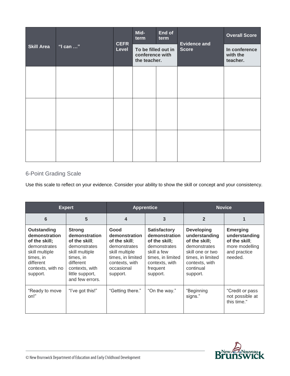|                   | "I can " | <b>CEFR</b><br>Level | Mid-<br>term                                           | End of<br>term | <b>Evidence and</b> | <b>Overall Score</b>                  |
|-------------------|----------|----------------------|--------------------------------------------------------|----------------|---------------------|---------------------------------------|
| <b>Skill Area</b> |          |                      | To be filled out in<br>conference with<br>the teacher. |                | <b>Score</b>        | In conference<br>with the<br>teacher. |
|                   |          |                      |                                                        |                |                     |                                       |
|                   |          |                      |                                                        |                |                     |                                       |
|                   |          |                      |                                                        |                |                     |                                       |
|                   |          |                      |                                                        |                |                     |                                       |
|                   |          |                      |                                                        |                |                     |                                       |
|                   |          |                      |                                                        |                |                     |                                       |

### 6-Point Grading Scale

Use this scale to reflect on your evidence. Consider your ability to show the skill or concept and your consistency.

|                                                                                                                                                   | <b>Expert</b>                                                                                                                                                       |                                                                                                                                           | <b>Apprentice</b>                                                                                                                                   | <b>Novice</b>                                                                                                                                           |                                                                                                |  |
|---------------------------------------------------------------------------------------------------------------------------------------------------|---------------------------------------------------------------------------------------------------------------------------------------------------------------------|-------------------------------------------------------------------------------------------------------------------------------------------|-----------------------------------------------------------------------------------------------------------------------------------------------------|---------------------------------------------------------------------------------------------------------------------------------------------------------|------------------------------------------------------------------------------------------------|--|
| 6                                                                                                                                                 | 5                                                                                                                                                                   | 4                                                                                                                                         | 3                                                                                                                                                   | $\overline{2}$                                                                                                                                          |                                                                                                |  |
| <b>Outstanding</b><br>demonstration<br>of the skill;<br>demonstrates<br>skill multiple<br>times, in<br>different<br>contexts, with no<br>support. | <b>Strong</b><br>demonstration<br>of the skill;<br>demonstrates<br>skill multiple<br>times, in<br>different<br>contexts, with<br>little support,<br>and few errors. | Good<br>demonstration<br>of the skill;<br>demonstrates<br>skill multiple<br>times, in limited<br>contexts, with<br>occasional<br>support. | <b>Satisfactory</b><br>demonstration<br>of the skill;<br>demonstrates<br>skill a few<br>times, in limited<br>contexts, with<br>frequent<br>support. | <b>Developing</b><br>understanding<br>of the skill;<br>demonstrates<br>skill one or two<br>times, in limited<br>contexts, with<br>continual<br>support. | <b>Emerging</b><br>understanding<br>of the skill;<br>more modelling<br>and practice<br>needed. |  |
| "Ready to move<br>on!"                                                                                                                            | "I've got this!"                                                                                                                                                    | "Getting there."                                                                                                                          | "On the way."                                                                                                                                       | "Beginning<br>signs."                                                                                                                                   | "Credit or pass<br>not possible at<br>this time."                                              |  |

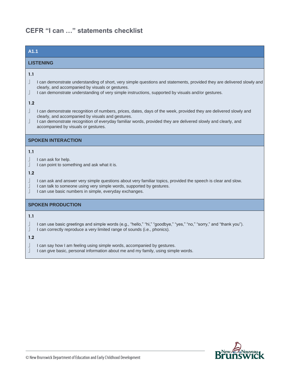## <span id="page-12-0"></span>**CEFR "I can …" statements checklist**

| A1.1             |                                                                                                                                                                                                                                                                                                                                |
|------------------|--------------------------------------------------------------------------------------------------------------------------------------------------------------------------------------------------------------------------------------------------------------------------------------------------------------------------------|
|                  | <b>LISTENING</b>                                                                                                                                                                                                                                                                                                               |
| 1.1<br>$\rfloor$ | I can demonstrate understanding of short, very simple questions and statements, provided they are delivered slowly and<br>clearly, and accompanied by visuals or gestures.                                                                                                                                                     |
| L<br>1.2         | I can demonstrate understanding of very simple instructions, supported by visuals and/or gestures.                                                                                                                                                                                                                             |
| 」                | I can demonstrate recognition of numbers, prices, dates, days of the week, provided they are delivered slowly and<br>clearly, and accompanied by visuals and gestures.<br>I can demonstrate recognition of everyday familiar words, provided they are delivered slowly and clearly, and<br>accompanied by visuals or gestures. |
|                  | <b>SPOKEN INTERACTION</b>                                                                                                                                                                                                                                                                                                      |
| 1.1<br>1.2       | I can ask for help.<br>I can point to something and ask what it is.<br>I can ask and answer very simple questions about very familiar topics, provided the speech is clear and slow.<br>I can talk to someone using very simple words, supported by gestures.<br>I can use basic numbers in simple, everyday exchanges.        |
|                  | <b>SPOKEN PRODUCTION</b>                                                                                                                                                                                                                                                                                                       |
| 1.1              | I can use basic greetings and simple words (e.g., "hello," "hi," "goodbye," "yes," "no," "sorry," and "thank you").                                                                                                                                                                                                            |

 $\Box$  I can correctly reproduce a very limited range of sounds (i.e., phonics).

- I can say how I am feeling using simple words, accompanied by gestures.<br>I can give basic, personal information about me and my family, using simp
- I can give basic, personal information about me and my family, using simple words.

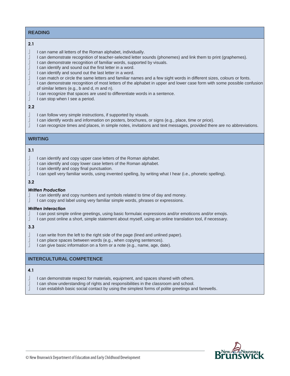#### **READING**

#### **2.1**

- I can name all letters of the Roman alphabet, individually.
- I can demonstrate recognition of teacher-selected letter sounds (phonemes) and link them to print (graphemes).
- I can demonstrate recognition of familiar words, supported by visuals.
- I can identify and sound out the first letter in a word.
- I can identify and sound out the last letter in a word.
- I can match or circle the same letters and familiar names and a few sight words in different sizes, colours or fonts.
- I can demonstrate recognition of most letters of the alphabet in upper and lower case form with some possible confusion of similar letters (e.g., b and d, m and n).
- I can recognize that spaces are used to differentiate words in a sentence.
- I can stop when I see a period.

#### **2.2**

- I can follow very simple instructions, if supported by visuals.
- I can identify words and information on posters, brochures, or signs (e.g., place, time or price).
- I can recognize times and places, in simple notes, invitations and text messages, provided there are no abbreviations.

#### **WRITING**

#### **3.1**

- I can identify and copy upper case letters of the Roman alphabet.
- I can identify and copy lower case letters of the Roman alphabet.
- I can identify and copy final punctuation.
- I can spell very familiar words, using invented spelling, by writing what I hear (i.e., phonetic spelling).

#### **3.2**

#### *Written Production*

- I can identify and copy numbers and symbols related to time of day and money.
- I can copy and label using very familiar simple words, phrases or expressions.

#### *Written Interaction*

- I can post simple online greetings, using basic formulaic expressions and/or emoticons and/or emojis.
- I can post online a short, simple statement about myself, using an online translation tool, if necessary.

#### **3.3**

- I can write from the left to the right side of the page (lined and unlined paper).
- I can place spaces between words (e.g., when copying sentences).
- I can give basic information on a form or a note (e.g., name, age, date).

#### **INTERCULTURAL COMPETENCE**

- I can demonstrate respect for materials, equipment, and spaces shared with others.
- I can show understanding of rights and responsibilities in the classroom and school.
- I can establish basic social contact by using the simplest forms of polite greetings and farewells.

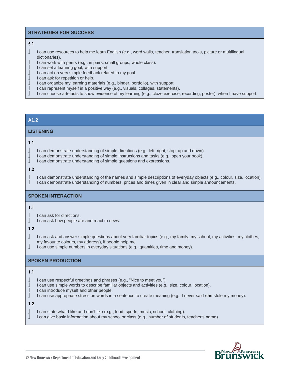#### **STRATEGIES FOR SUCCESS**

#### **5.1**

- I can use resources to help me learn English (e.g., word walls, teacher, translation tools, picture or multilingual dictionaries).
- I can work with peers (e.g., in pairs, small groups, whole class).
- I can set a learning goal, with support.
- I can act on very simple feedback related to my goal.
- I can ask for repetition or help.
- I can organize my learning materials (e.g., binder, portfolio), with support.
- I can represent myself in a positive way (e.g., visuals, collages, statements).
- I can choose artefacts to show evidence of my learning (e.g., cloze exercise, recording, poster), when I have support.

#### **A1.2**

|     | <b>LISTENING</b>                                                                             |
|-----|----------------------------------------------------------------------------------------------|
| 1.1 |                                                                                              |
|     | I can demonstrate understanding of simple directions (e.g., left, right, stop, up and down). |

- I can demonstrate understanding of simple instructions and tasks (e.g., open your book).
- I can demonstrate understanding of simple questions and expressions.

#### **1.2**

 I can demonstrate understanding of the names and simple descriptions of everyday objects (e.g., colour, size, location). I can demonstrate understanding of numbers, prices and times given in clear and simple announcements.

#### **SPOKEN INTERACTION**

#### **1.1**

- I can ask for directions.
- $\Box$  I can ask how people are and react to news.

#### **1.2**

- I can ask and answer simple questions about very familiar topics (e.g., my family, my school, my activities, my clothes, my favourite colours, my address), if people help me.
- I can use simple numbers in everyday situations (e.g., quantities, time and money).

#### **SPOKEN PRODUCTION**

#### **1.1**

- I can use respectful greetings and phrases (e.g., "Nice to meet you").
- I can use simple words to describe familiar objects and activities (e.g., size, colour, location).
- I can introduce myself and other people.
- I can use appropriate stress on words in a sentence to create meaning (e.g., I never said **she** stole my money).

- I can state what I like and don't like (e.g., food, sports, music, school, clothing).
- I can give basic information about my school or class (e.g., number of students, teacher's name).

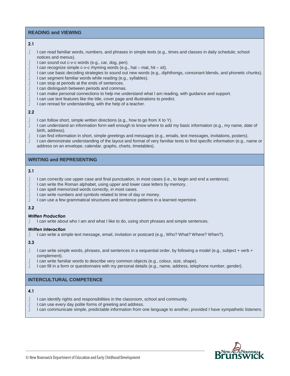#### **READING and VIEWING**

#### **2.1**

- I can read familiar words, numbers, and phrases in simple texts (e.g., times and classes in daily schedule; school notices and menus).
- I can sound out c-v-c words (e.g., car, dog, pen).
- I can recognize simple c-v-c rhyming words (e.g., hat mat, hit sit).
- I can use basic decoding strategies to sound out new words (e.g., diphthongs, consonant blends, and phonetic chunks). I can segment familiar words while reading (e.g., syllables).
- I can stop at periods at the ends of sentences.
- I can distinguish between periods and commas.
- I can make personal connections to help me understand what I am reading, with guidance and support.
- I can use text features like the title, cover page and illustrations to predict.
- $\perp$  I can reread for understanding, with the help of a teacher.

#### **2.2**

- I can follow short, simple written directions (e.g., how to go from X to Y).
- I can understand an information form well enough to know where to add my basic information (e.g., my name, date of birth, address).
- I can find information in short, simple greetings and messages (e.g., emails, text messages, invitations, posters).
- I can demonstrate understanding of the layout and format of very familiar texts to find specific information (e.g., name or address on an envelope, calendar, graphs, charts, timetables).

#### **WRITING and REPRESENTING**

#### **3.1**

- I can correctly use upper case and final punctuation, in most cases (i.e., to begin and end a sentence).
- I can write the Roman alphabet, using upper and lower case letters by memory.
- I can spell memorized words correctly, in most cases.
- I can write numbers and symbols related to time of day or money.
- $\Box$  I can use a few grammatical structures and sentence patterns in a learned repertoire.

#### **3.2**

#### *Written Production*

I can write about who I am and what I like to do, using short phrases and simple sentences.

#### *Written Interaction*

I can write a simple text message, email, invitation or postcard (e.g., Who? What? Where? When?).

#### **3.3**

- I can write simple words, phrases, and sentences in a sequential order, by following a model (e.g., subject + verb + complement).
- I can write familiar words to describe very common objects (e.g., colour, size, shape).
- I can fill in a form or questionnaire with my personal details (e.g., name, address, telephone number, gender).

#### **INTERCULTURAL COMPETENCE**

- I can identify rights and responsibilities in the classroom, school and community.
- I can use every day polite forms of greeting and address.
- I can communicate simple, predictable information from one language to another, provided I have sympathetic listeners.

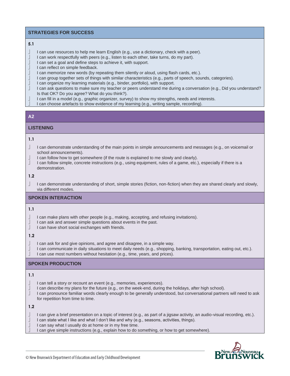#### **STRATEGIES FOR SUCCESS**

#### **5.1**

- I can use resources to help me learn English (e.g., use a dictionary, check with a peer).
- I can work respectfully with peers (e.g., listen to each other, take turns, do my part).
- I can set a goal and define steps to achieve it, with support.
- I can reflect on simple feedback.
- I can memorize new words (by repeating them silently or aloud, using flash cards, etc.).
- I can group together sets of things with similar characteristics (e.g., parts of speech, sounds, categories).
- I can organize my learning materials (e.g., binder, portfolio), with support.
- I can ask questions to make sure my teacher or peers understand me during a conversation (e.g., Did you understand? Is that OK? Do you agree? What do you think?).
- I can fill in a model (e.g., graphic organizer, survey) to show my strengths, needs and interests.
- I can choose artefacts to show evidence of my learning (e.g., writing sample, recording).

#### **A2**

#### **LISTENING**

#### **1.1**

- I can demonstrate understanding of the main points in simple announcements and messages (e.g., on voicemail or school announcements).
- I can follow how to get somewhere (if the route is explained to me slowly and clearly).
- I can follow simple, concrete instructions (e.g., using equipment, rules of a game, etc.), especially if there is a demonstration.

#### **1.2**

 I can demonstrate understanding of short, simple stories (fiction, non-fiction) when they are shared clearly and slowly, via different modes.

#### **SPOKEN INTERACTION**

#### **1.1**

- I can make plans with other people (e.g., making, accepting, and refusing invitations).
- I can ask and answer simple questions about events in the past.
- $\Box$  I can have short social exchanges with friends.

#### **1.2**

- I can ask for and give opinions, and agree and disagree, in a simple way.
- I can communicate in daily situations to meet daily needs (e.g., shopping, banking, transportation, eating out, etc.).
- I can use most numbers without hesitation (e.g., time, years, and prices).

#### **SPOKEN PRODUCTION**

#### **1.1**

- I can tell a story or recount an event (e.g., memories, experiences).
- I can describe my plans for the future (e.g., on the week-end, during the holidays, after high school).
- I can pronounce familiar words clearly enough to be generally understood, but conversational partners will need to ask for repetition from time to time.

- I can give a brief presentation on a topic of interest (e.g., as part of a jigsaw activity, an audio-visual recording, etc.).
- I can state what I like and what I don't like and why (e.g., seasons, activities, things).
- I can say what I usually do at home or in my free time.
- I can give simple instructions (e.g., explain how to do something, or how to get somewhere).

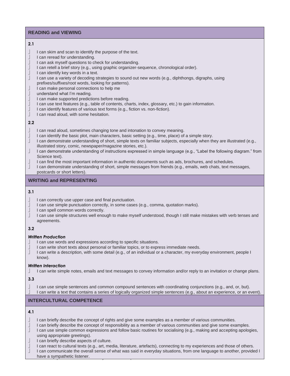#### **READING and VIEWING**

#### **2.1**

- I can skim and scan to identify the purpose of the text.
- I can reread for understanding.
- I can ask myself questions to check for understanding.
- I can retell a brief story (e.g., using graphic organizer-sequence, chronological order).
- I can identify key words in a text.
- I can use a variety of decoding strategies to sound out new words (e.g., diphthongs, digraphs, using prefixes/suffixes/root words, looking for patterns).
- I can make personal connections to help me
- understand what I'm reading.
- I can make supported predictions before reading.
- I can use text features (e.g., table of contents, charts, index, glossary, etc.) to gain information.
- I can identify features of various text forms (e.g., fiction vs. non-fiction).
- $\parallel$  I can read aloud, with some hesitation.

#### **2.2**

- I can read aloud, sometimes changing tone and intonation to convey meaning.
- I can identify the basic plot, main characters, basic setting (e.g., time, place) of a simple story.
- I can demonstrate understanding of short, simple texts on familiar subjects, especially when they are illustrated (e.g., illustrated story, comic, newspaper/magazine stories, etc.).
- I can demonstrate understanding of instructions expressed in simple language (e.g., "Label the following diagram." from Science text).
- I can find the most important information in authentic documents such as ads, brochures, and schedules.
- I can demonstrate understanding of short, simple messages from friends (e.g., emails, web chats, text messages, postcards or short letters).

#### **WRITING and REPRESENTING**

#### **3.1**

- I can correctly use upper case and final punctuation.
- I can use simple punctuation correctly, in some cases (e.g., comma, quotation marks).
- I can spell common words correctly.
- I can use simple structures well enough to make myself understood, though I still make mistakes with verb tenses and agreements.

#### **3.2**

#### *Written Production*

- I can use words and expressions according to specific situations.
- I can write short texts about personal or familiar topics, or to express immediate needs.
- I can write a description, with some detail (e.g., of an individual or a character, my everyday environment, people I know).

#### *Written Interaction*

I can write simple notes, emails and text messages to convey information and/or reply to an invitation or change plans.

#### **3.3**

 I can use simple sentences and common compound sentences with coordinating conjunctions (e.g., and, or, but). I can write a text that contains a series of logically organized simple sentences (e.g., about an experience, or an event).

#### **INTERCULTURAL COMPETENCE**

- I can briefly describe the concept of rights and give some examples as a member of various communities.
- I can briefly describe the concept of responsibility as a member of various communities and give some examples.
- I can use simple common expressions and follow basic routines for socialising (e.g., making and accepting apologies, using appropriate greetings).
- I can briefly describe aspects of culture.
- I can react to cultural texts (e.g., art, media, literature, artefacts), connecting to my experiences and those of others.<br>I can communicate the overall sense of what was said in everyday situations, from one language to
- I can communicate the overall sense of what was said in everyday situations, from one language to another, provided I have a sympathetic listener.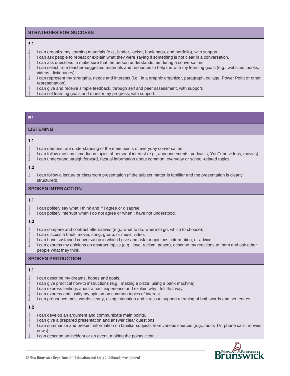#### **STRATEGIES FOR SUCCESS**

#### **5.1**

- I can organize my learning materials (e.g., binder, locker, book bags, and portfolio), with support.
- I can ask people to repeat or explain what they were saying if something is not clear in a conversation.
- $\Box$  I can ask questions to make sure that the person understands me during a conversation.
- I can select from teacher-suggested materials and resources to help me with my learning goals (e.g., websites, books, videos, dictionaries).
- I can represent my strengths, needs and interests (i.e., in a graphic organizer, paragraph, collage, Power Point or other representation).
- I can give and receive simple feedback, through self and peer assessment, with support.
- I can set learning goals and monitor my progress, with support.

#### **B1**

**LISTENING**

| 1.1                                  |                                                                                                                                                                                                                                                                                                                                                                                                                  |
|--------------------------------------|------------------------------------------------------------------------------------------------------------------------------------------------------------------------------------------------------------------------------------------------------------------------------------------------------------------------------------------------------------------------------------------------------------------|
| $\rfloor$<br>$\perp$<br>$\perp$      | I can demonstrate understanding of the main points of everyday conversation.<br>I can follow most multimedia on topics of personal interest (e.g., announcements, podcasts, YouTube videos, movies).<br>I can understand straightforward, factual information about common, everyday or school-related topics.                                                                                                   |
| 1.2                                  |                                                                                                                                                                                                                                                                                                                                                                                                                  |
| J                                    | I can follow a lecture or classroom presentation (if the subject matter is familiar and the presentation is clearly<br>structured).                                                                                                                                                                                                                                                                              |
|                                      | <b>SPOKEN INTERACTION</b>                                                                                                                                                                                                                                                                                                                                                                                        |
| 1.1                                  |                                                                                                                                                                                                                                                                                                                                                                                                                  |
| J                                    | I can politely say what I think and if I agree or disagree.<br>I can politely interrupt when I do not agree or when I have not understood.                                                                                                                                                                                                                                                                       |
| 1.2                                  |                                                                                                                                                                                                                                                                                                                                                                                                                  |
| $\rfloor$<br>$\perp$<br>$\perp$<br>L | I can compare and contrast alternatives (e.g., what to do, where to go, which to choose).<br>I can discuss a book, movie, song, group, or music video.<br>I can have sustained conversation in which I give and ask for opinions, information, or advice.<br>I can express my opinions on abstract topics (e.g., love, racism, peace), describe my reactions to them and ask other<br>people what they think.    |
|                                      | <b>SPOKEN PRODUCTION</b>                                                                                                                                                                                                                                                                                                                                                                                         |
| 1.1                                  |                                                                                                                                                                                                                                                                                                                                                                                                                  |
| J                                    | I can describe my dreams, hopes and goals.<br>I can give practical how-to instructions (e.g., making a pizza, using a bank machine).<br>I can express feelings about a past experience and explain why I felt that way.<br>I can express and justify my opinion on common topics of interest.<br>I can pronounce most words clearly, using intonation and stress to support meaning of both words and sentences. |
| 1.2                                  |                                                                                                                                                                                                                                                                                                                                                                                                                  |
|                                      | I can develop an argument and communicate main points.<br>I can give a prepared presentation and answer clear questions.<br>I can summarize and present information on familiar subjects from various sources (e.g., radio, TV, phone calls, movies,<br>news).                                                                                                                                                   |

I can describe an incident or an event, making the points clear.

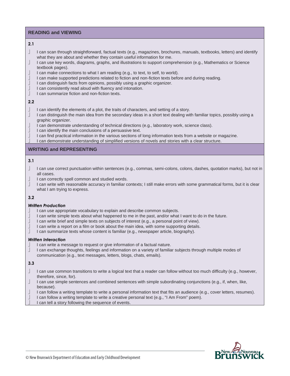#### **READING and VIEWING**

#### **2.1**

- I can scan through straightforward, factual texts (e.g., magazines, brochures, manuals, textbooks, letters) and identify what they are about and whether they contain useful information for me.
- I can use key words, diagrams, graphs, and illustrations to support comprehension (e.g., Mathematics or Science textbook pages).
- I can make connections to what I am reading (e.g., to text, to self, to world).
- I can make supported predictions related to fiction and non-fiction texts before and during reading.
- I can distinguish facts from opinions, possibly using a graphic organizer.
- I can consistently read aloud with fluency and intonation.
- $\vert$  I can summarize fiction and non-fiction texts.

#### **2.2**

- I can identify the elements of a plot, the traits of characters, and setting of a story.
- I can distinguish the main idea from the secondary ideas in a short text dealing with familiar topics, possibly using a graphic organizer.
- I can demonstrate understanding of technical directions (e.g., laboratory work, science class).
- I can identify the main conclusions of a persuasive text.
- I can find practical information in the various sections of long information texts from a website or magazine.

I can demonstrate understanding of simplified versions of novels and stories with a clear structure.

#### **WRITING and REPRESENTING**

#### **3.1**

- I can use correct punctuation within sentences (e.g., commas, semi-colons, colons, dashes, quotation marks), but not in all cases.
- I can correctly spell common and studied words.
- I can write with reasonable accuracy in familiar contexts; I still make errors with some grammatical forms, but it is clear what I am trying to express.

#### **3.2**

#### *Written Production*

- I can use appropriate vocabulary to explain and describe common subjects.
- I can write simple texts about what happened to me in the past, and/or what I want to do in the future.
- I can write brief and simple texts on subjects of interest (e.g., a personal point of view).
- I can write a report on a film or book about the main idea, with some supporting details.
- I can summarize texts whose content is familiar (e.g., newspaper article, biography).

#### *Written Interaction*

- I can write a message to request or give information of a factual nature.
- I can exchange thoughts, feelings and information on a variety of familiar subjects through multiple modes of communication (e.g., text messages, letters, blogs, chats, emails).

- I can use common transitions to write a logical text that a reader can follow without too much difficulty (e.g., however, therefore, since, for).
- I can use simple sentences and combined sentences with simple subordinating conjunctions (e.g., if, when, like, because).
- I can follow a writing template to write a personal information text that fits an audience (e.g., cover letters, resumes).
- I can follow a writing template to write a creative personal text (e.g., "I Am From" poem).
- I can tell a story following the sequence of events.

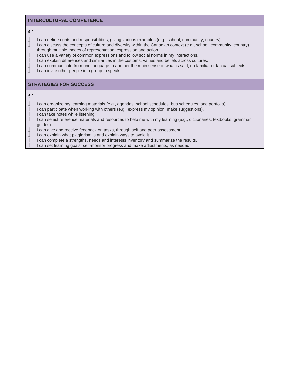#### **INTERCULTURAL COMPETENCE**

#### **4.1**

- I can define rights and responsibilities, giving various examples (e.g., school, community, country).
- I can discuss the concepts of culture and diversity within the Canadian context (e.g., school, community, country) through multiple modes of representation, expression and action.
- I can use a variety of common expressions and follow social norms in my interactions.<br>I can explain differences and similarities in the customs, values and beliefs across cultu
- I can explain differences and similarities in the customs, values and beliefs across cultures.
- I can communicate from one language to another the main sense of what is said, on familiar or factual subjects.<br>I can invite other people in a group to speak.
- I can invite other people in a group to speak.

#### **STRATEGIES FOR SUCCESS**

- I can organize my learning materials (e.g., agendas, school schedules, bus schedules, and portfolio).
- I can participate when working with others (e.g., express my opinion, make suggestions).
- I can take notes while listening.
- I can select reference materials and resources to help me with my learning (e.g., dictionaries, textbooks, grammar guides).
- I can give and receive feedback on tasks, through self and peer assessment.
- I can explain what plagiarism is and explain ways to avoid it.
- I can complete a strengths, needs and interests inventory and summarize the results.
- I can set learning goals, self-monitor progress and make adjustments, as needed.